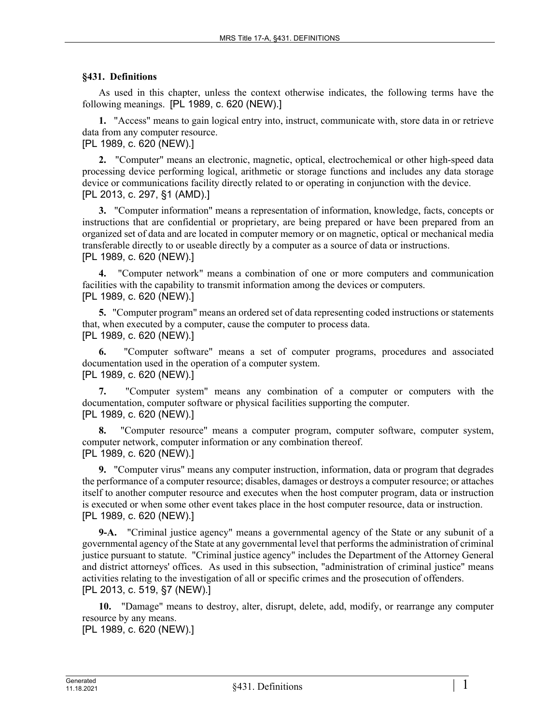## **§431. Definitions**

As used in this chapter, unless the context otherwise indicates, the following terms have the following meanings. [PL 1989, c. 620 (NEW).]

**1.** "Access" means to gain logical entry into, instruct, communicate with, store data in or retrieve data from any computer resource.

[PL 1989, c. 620 (NEW).]

**2.** "Computer" means an electronic, magnetic, optical, electrochemical or other high-speed data processing device performing logical, arithmetic or storage functions and includes any data storage device or communications facility directly related to or operating in conjunction with the device. [PL 2013, c. 297, §1 (AMD).]

**3.** "Computer information" means a representation of information, knowledge, facts, concepts or instructions that are confidential or proprietary, are being prepared or have been prepared from an organized set of data and are located in computer memory or on magnetic, optical or mechanical media transferable directly to or useable directly by a computer as a source of data or instructions. [PL 1989, c. 620 (NEW).]

**4.** "Computer network" means a combination of one or more computers and communication facilities with the capability to transmit information among the devices or computers. [PL 1989, c. 620 (NEW).]

**5.** "Computer program" means an ordered set of data representing coded instructions or statements that, when executed by a computer, cause the computer to process data. [PL 1989, c. 620 (NEW).]

**6.** "Computer software" means a set of computer programs, procedures and associated documentation used in the operation of a computer system. [PL 1989, c. 620 (NEW).]

**7.** "Computer system" means any combination of a computer or computers with the documentation, computer software or physical facilities supporting the computer. [PL 1989, c. 620 (NEW).]

**8.** "Computer resource" means a computer program, computer software, computer system, computer network, computer information or any combination thereof. [PL 1989, c. 620 (NEW).]

**9.** "Computer virus" means any computer instruction, information, data or program that degrades the performance of a computer resource; disables, damages or destroys a computer resource; or attaches itself to another computer resource and executes when the host computer program, data or instruction is executed or when some other event takes place in the host computer resource, data or instruction. [PL 1989, c. 620 (NEW).]

**9-A.** "Criminal justice agency" means a governmental agency of the State or any subunit of a governmental agency of the State at any governmental level that performs the administration of criminal justice pursuant to statute. "Criminal justice agency" includes the Department of the Attorney General and district attorneys' offices. As used in this subsection, "administration of criminal justice" means activities relating to the investigation of all or specific crimes and the prosecution of offenders. [PL 2013, c. 519, §7 (NEW).]

**10.** "Damage" means to destroy, alter, disrupt, delete, add, modify, or rearrange any computer resource by any means.

[PL 1989, c. 620 (NEW).]